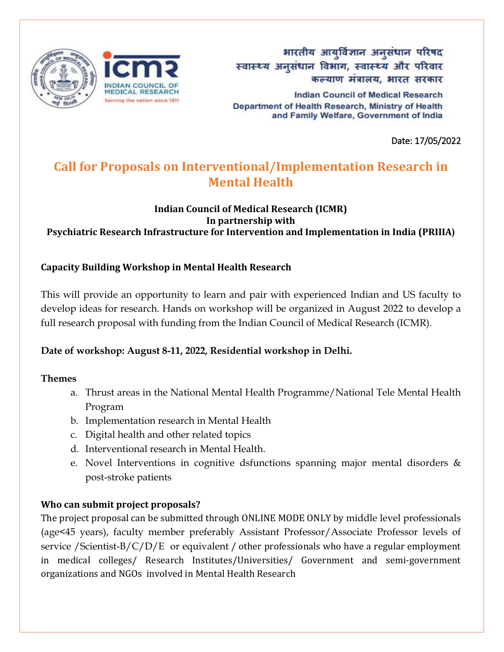

भारतीय आयुर्विज्ञान अनुसंधान परिषद स्वास्थ्य अनुसंधान विभाग, स्वास्थ्य और परिवार कल्याण मंत्रालय, भारत सरकार

**Indian Council of Medical Research** Department of Health Research, Ministry of Health and Family Welfare, Government of India

Date: 17/05/2022

# **Call for Proposals on Interventional/Implementation Research in Mental Health**

#### **Indian Council of Medical Research (ICMR) In partnership with Psychiatric Research Infrastructure for Intervention and Implementation in India (PRIIIA)**

### **Capacity Building Workshop in Mental Health Research**

This will provide an opportunity to learn and pair with experienced Indian and US faculty to develop ideas for research. Hands on workshop will be organized in August 2022 to develop a full research proposal with funding from the Indian Council of Medical Research (ICMR).

### **Date of workshop: August 8-11, 2022, Residential workshop in Delhi.**

#### **Themes**

- a. Thrust areas in the National Mental Health Programme/National Tele Mental Health Program
- b. Implementation research in Mental Health
- c. Digital health and other related topics
- d. Interventional research in Mental Health.
- e. Novel Interventions in cognitive dsfunctions spanning major mental disorders & post-stroke patients

### **Who can submit project proposals?**

The project proposal can be submitted through ONLINE MODE ONLY by middle level professionals (age<45 years), faculty member preferably Assistant Professor/Associate Professor levels of service /Scientist-B/C/D/E or equivalent / other professionals who have a regular employment in medical colleges/ Research Institutes/Universities/ Government and semi-government organizations and NGOs involved in Mental Health Research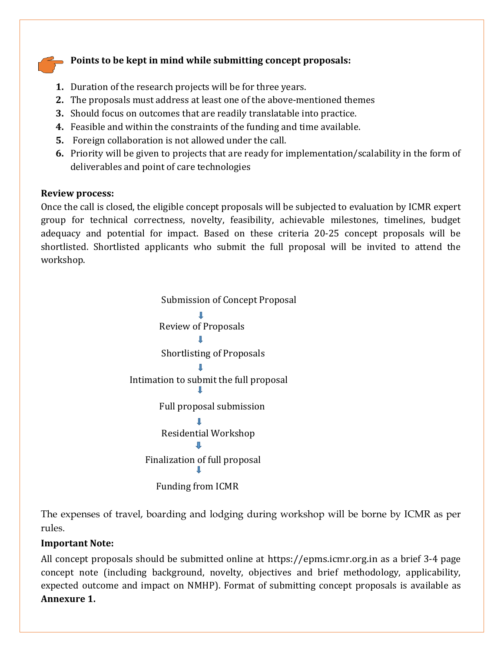#### **Points to be kept in mind while submitting concept proposals:**

- **1.** Duration of the research projects will be for three years.
- **2.** The proposals must address at least one of the above-mentioned themes
- **3.** Should focus on outcomes that are readily translatable into practice.
- **4.** Feasible and within the constraints of the funding and time available.
- **5.** Foreign collaboration is not allowed under the call.
- **6.** Priority will be given to projects that are ready for implementation/scalability in the form of deliverables and point of care technologies

#### **Review process:**

Once the call is closed, the eligible concept proposals will be subjected to evaluation by ICMR expert group for technical correctness, novelty, feasibility, achievable milestones, timelines, budget adequacy and potential for impact. Based on these criteria 20-25 concept proposals will be shortlisted. Shortlisted applicants who submit the full proposal will be invited to attend the workshop.

> Submission of Concept Proposal Review of Proposals Shortlisting of Proposals Intimation to submit the full proposal Full proposal submission Residential Workshop Finalization of full proposal Funding from ICMR

The expenses of travel, boarding and lodging during workshop will be borne by ICMR as per rules.

#### **Important Note:**

All concept proposals should be submitted online at [https://epms.icmr.org.in a](https://epms.icmr.org.in/)s a brief 3-4 page concept note (including background, novelty, objectives and brief methodology, applicability, expected outcome and impact on NMHP). Format of submitting concept proposals is available as **Annexure 1.**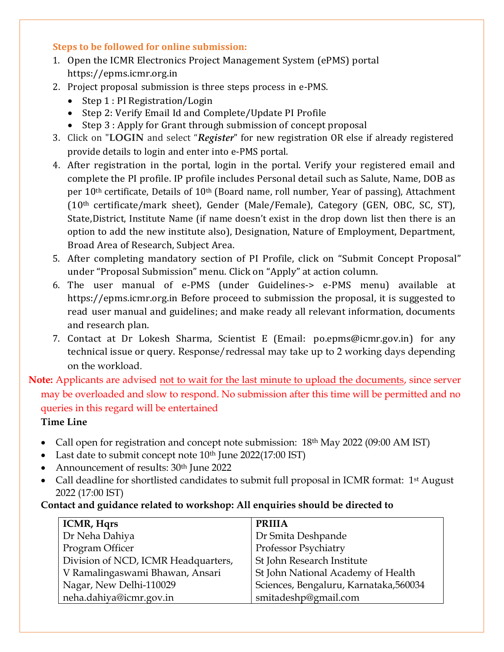#### **Steps to be followed for online submission:**

- 1. Open the ICMR Electronics Project Management System (ePMS) portal [https://epms.icmr.org.in](https://epms.icmr.org.in/)
- 2. Project proposal submission is three steps process in e-PMS.
	- Step 1 : PI Registration/Login
	- Step 2: Verify Email Id and Complete/Update PI Profile
	- Step 3 : Apply for Grant through submission of concept proposal
- 3. Click on "**LOGIN** and select "*Register*" for new registration OR else if already registered provide details to login and enter into e-PMS portal.
- 4. After registration in the portal, login in the portal. Verify your registered email and complete the PI profile. IP profile includes Personal detail such as Salute, Name, DOB as per 10<sup>th</sup> certificate, Details of 10<sup>th</sup> (Board name, roll number, Year of passing), Attachment (10th certificate/mark sheet), Gender (Male/Female), Category (GEN, OBC, SC, ST), State,District, Institute Name (if name doesn't exist in the drop down list then there is an option to add the new institute also), Designation, Nature of Employment, Department, Broad Area of Research, Subject Area.
- 5. After completing mandatory section of PI Profile, click on "Submit Concept Proposal" under "Proposal Submission" menu. Click on "Apply" at action column.
- 6. The user manual of e-PMS (under Guidelines-> e-PMS menu) available at https://epms.icmr.org.in Before proceed to submission the proposal, it is suggested to read user manual and guidelines; and make ready all relevant information, documents and research plan.
- 7. Contact at Dr Lokesh Sharma, Scientist E (Email: [po.epms@icmr.gov.in\)](mailto:po.epms@icmr.gov.in) for any technical issue or query. Response/redressal may take up to 2 working days depending on the workload.

# **Note:** Applicants are advised not to wait for the last minute to upload the documents, since server may be overloaded and slow to respond. No submission after this time will be permitted and no queries in this regard will be entertained

#### **Time Line**

- Call open for registration and concept note submission:  $18<sup>th</sup>$  May 2022 (09:00 AM IST)
- Last date to submit concept note  $10<sup>th</sup>$  June 2022(17:00 IST)
- Announcement of results: 30<sup>th</sup> June 2022
- Call deadline for shortlisted candidates to submit full proposal in ICMR format: 1<sup>st</sup> August 2022 (17:00 IST)

#### **Contact and guidance related to workshop: All enquiries should be directed to**

| <b>ICMR, Hqrs</b>                   | <b>PRIIIA</b>                          |
|-------------------------------------|----------------------------------------|
| Dr Neha Dahiya                      | Dr Smita Deshpande                     |
| Program Officer                     | Professor Psychiatry                   |
| Division of NCD, ICMR Headquarters, | St John Research Institute             |
| V Ramalingaswami Bhawan, Ansari     | St John National Academy of Health     |
| Nagar, New Delhi-110029             | Sciences, Bengaluru, Karnataka, 560034 |
| neha.dahiya@icmr.gov.in             | smitadeshp@gmail.com                   |